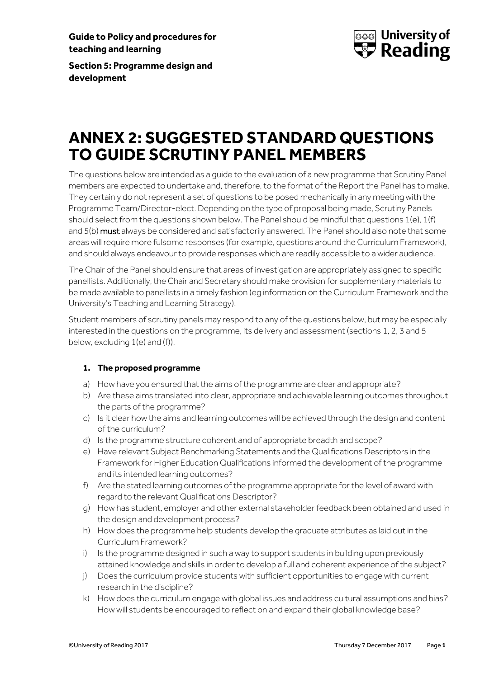**Guide to Policy and procedures for teaching and learning**



**Section 5: Programme design and development**

# **ANNEX 2: SUGGESTED STANDARD QUESTIONS TO GUIDE SCRUTINY PANEL MEMBERS**

The questions below are intended as a guide to the evaluation of a new programme that Scrutiny Panel members are expected to undertake and, therefore, to the format of the Report the Panel has to make. They certainly do not represent a set of questions to be posed mechanically in any meeting with the Programme Team/Director-elect. Depending on the type of proposal being made, Scrutiny Panels should select from the questions shown below. The Panel should be mindful that questions 1(e), 1(f) and 5(b) must always be considered and satisfactorily answered. The Panel should also note that some areas will require more fulsome responses (for example, questions around the Curriculum Framework), and should always endeavour to provide responses which are readily accessible to a wider audience.

The Chair of the Panel should ensure that areas of investigation are appropriately assigned to specific panellists. Additionally, the Chair and Secretary should make provision for supplementary materials to be made available to panellists in a timely fashion (eg information on the Curriculum Framework and the University's Teaching and Learning Strategy).

Student members of scrutiny panels may respond to any of the questions below, but may be especially interested in the questions on the programme, its delivery and assessment (sections 1, 2, 3 and 5 below, excluding 1(e) and (f)).

### **1. The proposed programme**

- a) How have you ensured that the aims of the programme are clear and appropriate?
- b) Are these aims translated into clear, appropriate and achievable learning outcomes throughout the parts of the programme?
- c) Is it clear how the aims and learning outcomes will be achieved through the design and content of the curriculum?
- d) Is the programme structure coherent and of appropriate breadth and scope?
- e) Have relevant Subject Benchmarking Statements and the Qualifications Descriptors in the Framework for Higher Education Qualifications informed the development of the programme and its intended learning outcomes?
- f) Are the stated learning outcomes of the programme appropriate for the level of award with regard to the relevant Qualifications Descriptor?
- g) How has student, employer and other external stakeholder feedback been obtained and used in the design and development process?
- h) How does the programme help students develop the graduate attributes as laid out in the Curriculum Framework?
- i) Is the programme designed in such a way to support students in building upon previously attained knowledge and skills in order to develop a full and coherent experience of the subject?
- j) Does the curriculum provide students with sufficient opportunities to engage with current research in the discipline?
- k) How does the curriculum engage with global issues and address cultural assumptions and bias? How will students be encouraged to reflect on and expand their global knowledge base?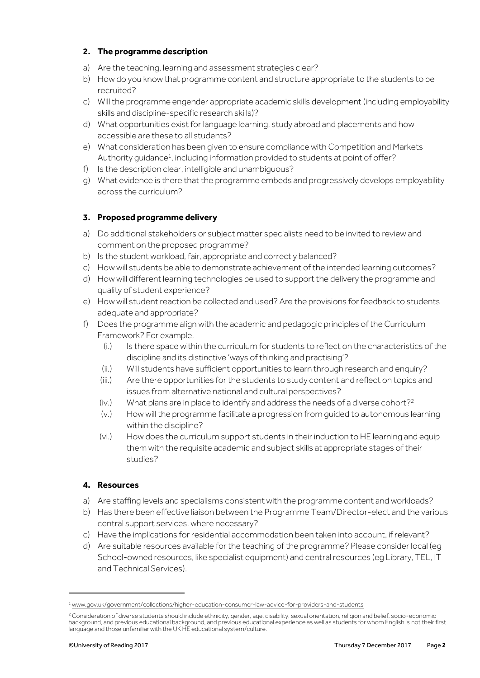## **2. The programme description**

- a) Are the teaching, learning and assessment strategies clear?
- b) How do you know that programme content and structure appropriate to the students to be recruited?
- c) Will the programme engender appropriate academic skills development (including employability skills and discipline-specific research skills)?
- d) What opportunities exist for language learning, study abroad and placements and how accessible are these to all students?
- e) What consideration has been given to ensure compliance with Competition and Markets Authority guidance<sup>1</sup>, including information provided to students at point of offer?
- f) Is the description clear, intelligible and unambiguous?
- g) What evidence is there that the programme embeds and progressively develops employability across the curriculum?

## **3. Proposed programme delivery**

- a) Do additional stakeholders or subject matter specialists need to be invited to review and comment on the proposed programme?
- b) Is the student workload, fair, appropriate and correctly balanced?
- c) How will students be able to demonstrate achievement of the intended learning outcomes?
- d) How will different learning technologies be used to support the delivery the programme and quality of student experience?
- e) How will student reaction be collected and used? Are the provisions for feedback to students adequate and appropriate?
- f) Does the programme align with the academic and pedagogic principles of the Curriculum Framework? For example,
	- (i.) Is there space within the curriculum for students to reflect on the characteristics of the discipline and its distinctive 'ways of thinking and practising'?
	- (ii.) Will students have sufficient opportunities to learn through research and enquiry?
	- (iii.) Are there opportunities for the students to study content and reflect on topics and issues from alternative national and cultural perspectives?
	- $(iv.)$  What plans are in place to identify and address the needs of a diverse cohort?<sup>2</sup>
	- (v.) How will the programme facilitate a progression from guided to autonomous learning within the discipline?
	- (vi.) How does the curriculum support students in their induction to HE learning and equip them with the requisite academic and subject skills at appropriate stages of their studies?

## **4. Resources**

- a) Are staffing levels and specialisms consistent with the programme content and workloads?
- b) Has there been effective liaison between the Programme Team/Director-elect and the various central support services, where necessary?
- c) Have the implications for residential accommodation been taken into account, if relevant?
- d) Are suitable resources available for the teaching of the programme? Please consider local (eg School-owned resources, like specialist equipment) and central resources (eg Library, TEL, IT and Technical Services).

.

<sup>1</sup> [www.gov.uk/government/collections/higher-education-consumer-law-advice-for-providers-and-students](http://www.gov.uk/government/collections/higher-education-consumer-law-advice-for-providers-and-students)

<sup>&</sup>lt;sup>2</sup> Consideration of diverse students should include ethnicity, gender, age, disability, sexual orientation, religion and belief, socio-economic background, and previous educational background, and previous educational experience as well as students for whom English is not their first language and those unfamiliar with the UK HE educational system/culture.